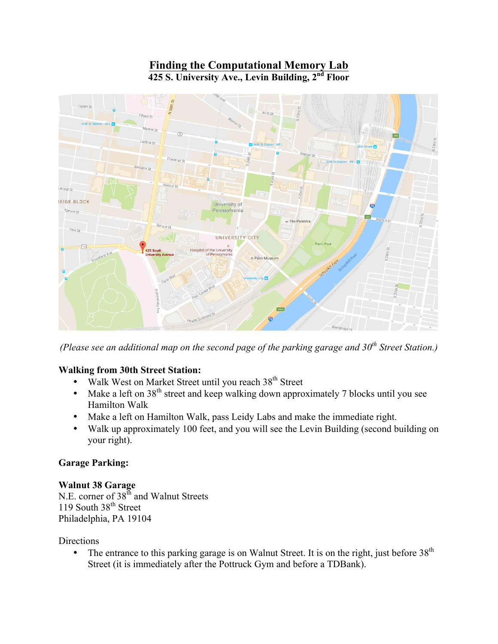# **Finding the Computational Memory Lab 425 S. University Ave., Levin Building, 2nd Floor**



*(Please see an additional map on the second page of the parking garage and 30th Street Station.)*

### **Walking from 30th Street Station:**

- Walk West on Market Street until you reach 38<sup>th</sup> Street
- Make a left on  $38<sup>th</sup>$  street and keep walking down approximately 7 blocks until you see Hamilton Walk
- Make a left on Hamilton Walk, pass Leidy Labs and make the immediate right.
- Walk up approximately 100 feet, and you will see the Levin Building (second building on your right).

### **Garage Parking:**

#### **Walnut 38 Garage** N.E. corner of 38<sup>th</sup> and Walnut Streets

119 South 38<sup>th</sup> Street Philadelphia, PA 19104

**Directions** 

• The entrance to this parking garage is on Walnut Street. It is on the right, just before  $38<sup>th</sup>$ Street (it is immediately after the Pottruck Gym and before a TDBank).